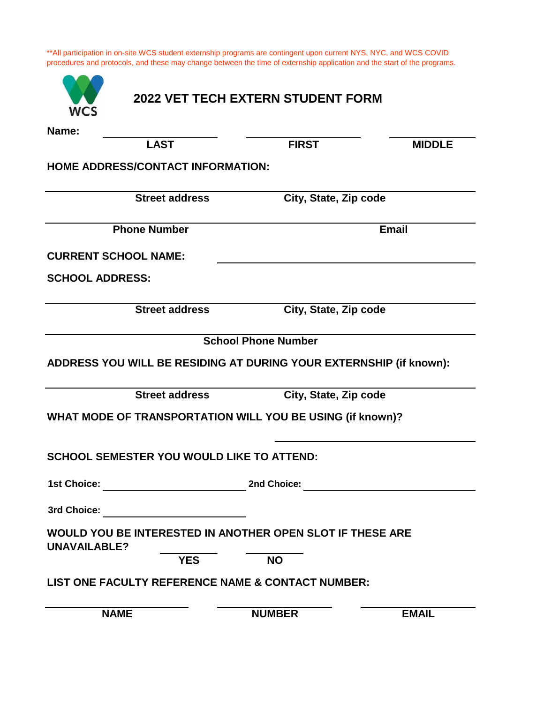| Name:                  |                                                  |                                                                    |               |
|------------------------|--------------------------------------------------|--------------------------------------------------------------------|---------------|
|                        | <b>LAST</b>                                      | <b>FIRST</b>                                                       | <b>MIDDLE</b> |
|                        | <b>HOME ADDRESS/CONTACT INFORMATION:</b>         |                                                                    |               |
|                        | <b>Street address</b>                            | City, State, Zip code                                              |               |
|                        | <b>Phone Number</b>                              |                                                                    | <b>Email</b>  |
|                        | <b>CURRENT SCHOOL NAME:</b>                      |                                                                    |               |
| <b>SCHOOL ADDRESS:</b> |                                                  |                                                                    |               |
|                        | <b>Street address</b>                            | City, State, Zip code                                              |               |
|                        |                                                  | <b>School Phone Number</b>                                         |               |
|                        |                                                  | ADDRESS YOU WILL BE RESIDING AT DURING YOUR EXTERNSHIP (if known): |               |
|                        | <b>Street address</b>                            | City, State, Zip code                                              |               |
|                        |                                                  | WHAT MODE OF TRANSPORTATION WILL YOU BE USING (if known)?          |               |
|                        | <b>SCHOOL SEMESTER YOU WOULD LIKE TO ATTEND:</b> |                                                                    |               |
|                        |                                                  |                                                                    |               |
|                        |                                                  |                                                                    |               |
| <b>UNAVAILABLE?</b>    |                                                  | WOULD YOU BE INTERESTED IN ANOTHER OPEN SLOT IF THESE ARE          |               |
|                        | <b>YES</b>                                       | <b>NO</b>                                                          |               |
|                        |                                                  | LIST ONE FACULTY REFERENCE NAME & CONTACT NUMBER:                  |               |
|                        |                                                  |                                                                    |               |
|                        | <b>NAME</b>                                      | <b>NUMBER</b>                                                      | <b>EMAIL</b>  |